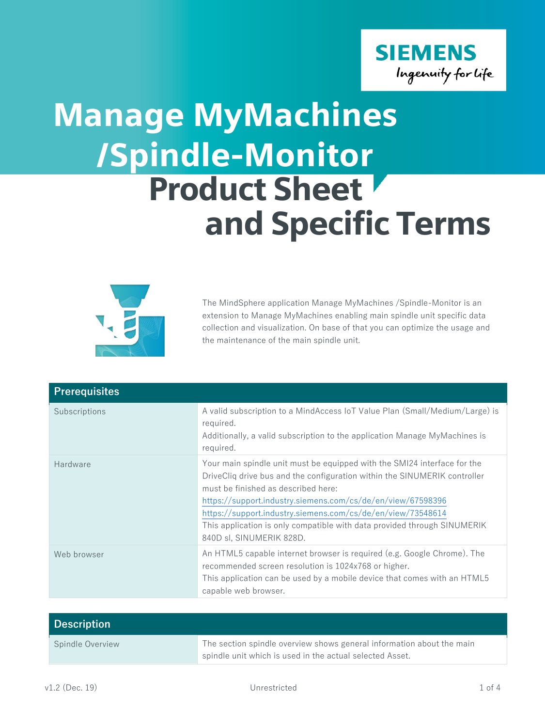

## /Spindle-Monitor Product Sheet and Specific Terms Manage MyMachines



The MindSphere application Manage MyMachines /Spindle-Monitor is an extension to Manage MyMachines enabling main spindle unit specific data collection and visualization. On base of that you can optimize the usage and the maintenance of the main spindle unit.

| <b>Prerequisites</b> |                                                                                                                                                                                                                                                                                                                                                                                                                                    |
|----------------------|------------------------------------------------------------------------------------------------------------------------------------------------------------------------------------------------------------------------------------------------------------------------------------------------------------------------------------------------------------------------------------------------------------------------------------|
| Subscriptions        | A valid subscription to a MindAccess IoT Value Plan (Small/Medium/Large) is<br>required.<br>Additionally, a valid subscription to the application Manage MyMachines is<br>required.                                                                                                                                                                                                                                                |
| Hardware             | Your main spindle unit must be equipped with the SMI24 interface for the<br>DriveCliq drive bus and the configuration within the SINUMERIK controller<br>must be finished as described here:<br>https://support.industry.siemens.com/cs/de/en/view/67598396<br>https://support.industry.siemens.com/cs/de/en/view/73548614<br>This application is only compatible with data provided through SINUMERIK<br>840D sl, SINUMERIK 828D. |
| Web browser          | An HTML5 capable internet browser is required (e.g. Google Chrome). The<br>recommended screen resolution is 1024x768 or higher.<br>This application can be used by a mobile device that comes with an HTML5<br>capable web browser.                                                                                                                                                                                                |

| <b>Description</b> |                                                                       |
|--------------------|-----------------------------------------------------------------------|
| Spindle Overview   | The section spindle overview shows general information about the main |
|                    | spindle unit which is used in the actual selected Asset.              |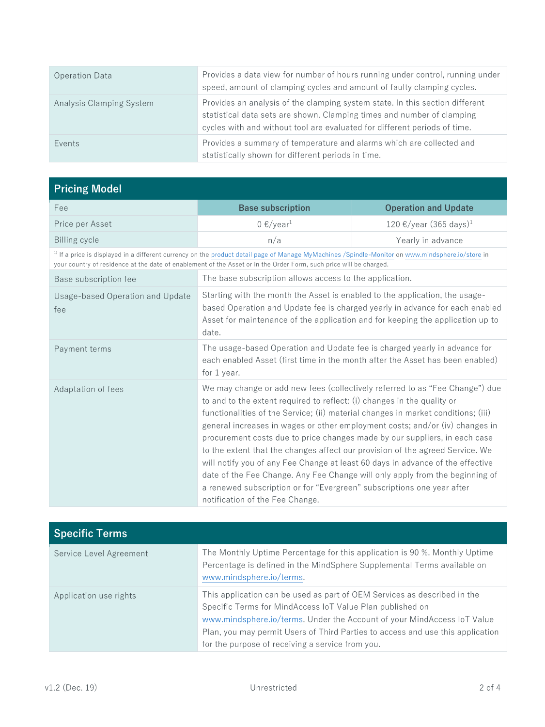| <b>Operation Data</b>    | Provides a data view for number of hours running under control, running under<br>speed, amount of clamping cycles and amount of faulty clamping cycles.                                                                             |
|--------------------------|-------------------------------------------------------------------------------------------------------------------------------------------------------------------------------------------------------------------------------------|
| Analysis Clamping System | Provides an analysis of the clamping system state. In this section different<br>statistical data sets are shown. Clamping times and number of clamping<br>cycles with and without tool are evaluated for different periods of time. |
| Events                   | Provides a summary of temperature and alarms which are collected and<br>statistically shown for different periods in time.                                                                                                          |

| <b>Pricing Model</b>                    |                                                                                                                                                                                                                                                                                                                                                                                                                                                                                                                                                                                                                                                                                                                                                                            |                                    |
|-----------------------------------------|----------------------------------------------------------------------------------------------------------------------------------------------------------------------------------------------------------------------------------------------------------------------------------------------------------------------------------------------------------------------------------------------------------------------------------------------------------------------------------------------------------------------------------------------------------------------------------------------------------------------------------------------------------------------------------------------------------------------------------------------------------------------------|------------------------------------|
| Fee                                     | <b>Base subscription</b>                                                                                                                                                                                                                                                                                                                                                                                                                                                                                                                                                                                                                                                                                                                                                   | <b>Operation and Update</b>        |
| Price per Asset                         | $0 \frac{\epsilon}{\sqrt{2}}$                                                                                                                                                                                                                                                                                                                                                                                                                                                                                                                                                                                                                                                                                                                                              | 120 €/year (365 days) <sup>1</sup> |
| <b>Billing cycle</b>                    | n/a                                                                                                                                                                                                                                                                                                                                                                                                                                                                                                                                                                                                                                                                                                                                                                        | Yearly in advance                  |
|                                         | <sup>1)</sup> If a price is displayed in a different currency on the product detail page of Manage MyMachines /Spindle-Monitor on www.mindsphere.io/store in<br>your country of residence at the date of enablement of the Asset or in the Order Form, such price will be charged.                                                                                                                                                                                                                                                                                                                                                                                                                                                                                         |                                    |
| Base subscription fee                   | The base subscription allows access to the application.                                                                                                                                                                                                                                                                                                                                                                                                                                                                                                                                                                                                                                                                                                                    |                                    |
| Usage-based Operation and Update<br>fee | Starting with the month the Asset is enabled to the application, the usage-<br>based Operation and Update fee is charged yearly in advance for each enabled<br>Asset for maintenance of the application and for keeping the application up to<br>date.                                                                                                                                                                                                                                                                                                                                                                                                                                                                                                                     |                                    |
| Payment terms                           | The usage-based Operation and Update fee is charged yearly in advance for<br>each enabled Asset (first time in the month after the Asset has been enabled)<br>for 1 year.                                                                                                                                                                                                                                                                                                                                                                                                                                                                                                                                                                                                  |                                    |
| Adaptation of fees                      | We may change or add new fees (collectively referred to as "Fee Change") due<br>to and to the extent required to reflect: (i) changes in the quality or<br>functionalities of the Service; (ii) material changes in market conditions; (iii)<br>general increases in wages or other employment costs; and/or (iv) changes in<br>procurement costs due to price changes made by our suppliers, in each case<br>to the extent that the changes affect our provision of the agreed Service. We<br>will notify you of any Fee Change at least 60 days in advance of the effective<br>date of the Fee Change. Any Fee Change will only apply from the beginning of<br>a renewed subscription or for "Evergreen" subscriptions one year after<br>notification of the Fee Change. |                                    |

| <b>Specific Terms</b>   |                                                                                                                                                                                                                                                                                                                                                        |
|-------------------------|--------------------------------------------------------------------------------------------------------------------------------------------------------------------------------------------------------------------------------------------------------------------------------------------------------------------------------------------------------|
| Service Level Agreement | The Monthly Uptime Percentage for this application is 90 %. Monthly Uptime<br>Percentage is defined in the MindSphere Supplemental Terms available on<br>www.mindsphere.io/terms.                                                                                                                                                                      |
| Application use rights  | This application can be used as part of OEM Services as described in the<br>Specific Terms for MindAccess IoT Value Plan published on<br>www.mindsphere.io/terms. Under the Account of your MindAccess IoT Value<br>Plan, you may permit Users of Third Parties to access and use this application<br>for the purpose of receiving a service from you. |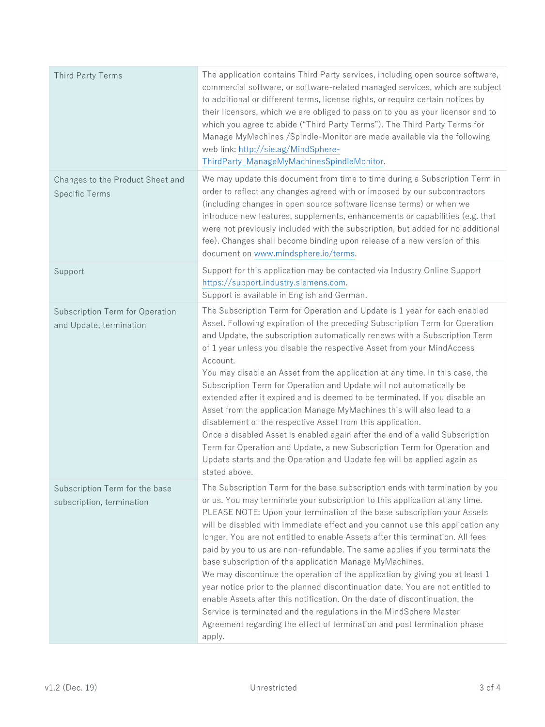| Third Party Terms                                           | The application contains Third Party services, including open source software,<br>commercial software, or software-related managed services, which are subject<br>to additional or different terms, license rights, or require certain notices by<br>their licensors, which we are obliged to pass on to you as your licensor and to<br>which you agree to abide ("Third Party Terms"). The Third Party Terms for<br>Manage MyMachines / Spindle-Monitor are made available via the following<br>web link: http://sie.ag/MindSphere-<br>ThirdParty_ManageMyMachinesSpindleMonitor.                                                                                                                                                                                                                                                                                                                                                                                  |
|-------------------------------------------------------------|---------------------------------------------------------------------------------------------------------------------------------------------------------------------------------------------------------------------------------------------------------------------------------------------------------------------------------------------------------------------------------------------------------------------------------------------------------------------------------------------------------------------------------------------------------------------------------------------------------------------------------------------------------------------------------------------------------------------------------------------------------------------------------------------------------------------------------------------------------------------------------------------------------------------------------------------------------------------|
| Changes to the Product Sheet and<br><b>Specific Terms</b>   | We may update this document from time to time during a Subscription Term in<br>order to reflect any changes agreed with or imposed by our subcontractors<br>(including changes in open source software license terms) or when we<br>introduce new features, supplements, enhancements or capabilities (e.g. that<br>were not previously included with the subscription, but added for no additional<br>fee). Changes shall become binding upon release of a new version of this<br>document on www.mindsphere.io/terms.                                                                                                                                                                                                                                                                                                                                                                                                                                             |
| Support                                                     | Support for this application may be contacted via Industry Online Support<br>https://support.industry.siemens.com.<br>Support is available in English and German.                                                                                                                                                                                                                                                                                                                                                                                                                                                                                                                                                                                                                                                                                                                                                                                                   |
| Subscription Term for Operation<br>and Update, termination  | The Subscription Term for Operation and Update is 1 year for each enabled<br>Asset. Following expiration of the preceding Subscription Term for Operation<br>and Update, the subscription automatically renews with a Subscription Term<br>of 1 year unless you disable the respective Asset from your MindAccess<br>Account.<br>You may disable an Asset from the application at any time. In this case, the<br>Subscription Term for Operation and Update will not automatically be<br>extended after it expired and is deemed to be terminated. If you disable an<br>Asset from the application Manage MyMachines this will also lead to a<br>disablement of the respective Asset from this application.<br>Once a disabled Asset is enabled again after the end of a valid Subscription<br>Term for Operation and Update, a new Subscription Term for Operation and<br>Update starts and the Operation and Update fee will be applied again as<br>stated above. |
| Subscription Term for the base<br>subscription, termination | The Subscription Term for the base subscription ends with termination by you<br>or us. You may terminate your subscription to this application at any time.<br>PLEASE NOTE: Upon your termination of the base subscription your Assets<br>will be disabled with immediate effect and you cannot use this application any<br>longer. You are not entitled to enable Assets after this termination. All fees<br>paid by you to us are non-refundable. The same applies if you terminate the<br>base subscription of the application Manage MyMachines.<br>We may discontinue the operation of the application by giving you at least 1<br>year notice prior to the planned discontinuation date. You are not entitled to<br>enable Assets after this notification. On the date of discontinuation, the<br>Service is terminated and the regulations in the MindSphere Master<br>Agreement regarding the effect of termination and post termination phase<br>apply.    |